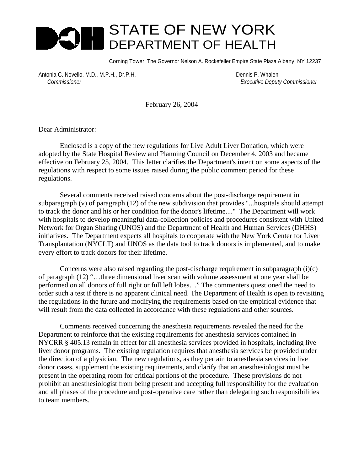# STATE OF NEW YORK DEPARTMENT OF HEALTH

Corning Tower The Governor Nelson A. Rockefeller Empire State Plaza Albany, NY 12237

Antonia C. Novello, M.D., M.P.H., Dr.P.H. Dennis P. Whalen  *Commissioner Executive Deputy Commissioner*

February 26, 2004

Dear Administrator:

Enclosed is a copy of the new regulations for Live Adult Liver Donation, which were adopted by the State Hospital Review and Planning Council on December 4, 2003 and became effective on February 25, 2004. This letter clarifies the Department's intent on some aspects of the regulations with respect to some issues raised during the public comment period for these regulations.

Several comments received raised concerns about the post-discharge requirement in subparagraph (v) of paragraph (12) of the new subdivision that provides "...hospitals should attempt to track the donor and his or her condition for the donor's lifetime...." The Department will work with hospitals to develop meaningful data-collection policies and procedures consistent with United Network for Organ Sharing (UNOS) and the Department of Health and Human Services (DHHS) initiatives. The Department expects all hospitals to cooperate with the New York Center for Liver Transplantation (NYCLT) and UNOS as the data tool to track donors is implemented, and to make every effort to track donors for their lifetime.

Concerns were also raised regarding the post-discharge requirement in subparagraph (i)(c) of paragraph (12) "…three dimensional liver scan with volume assessment at one year shall be performed on all donors of full right or full left lobes…" The commenters questioned the need to order such a test if there is no apparent clinical need. The Department of Health is open to revisiting the regulations in the future and modifying the requirements based on the empirical evidence that will result from the data collected in accordance with these regulations and other sources.

Comments received concerning the anesthesia requirements revealed the need for the Department to reinforce that the existing requirements for anesthesia services contained in NYCRR § 405.13 remain in effect for all anesthesia services provided in hospitals, including live liver donor programs. The existing regulation requires that anesthesia services be provided under the direction of a physician. The new regulations, as they pertain to anesthesia services in live donor cases, supplement the existing requirements, and clarify that an anesthesiologist must be present in the operating room for critical portions of the procedure. These provisions do not prohibit an anesthesiologist from being present and accepting full responsibility for the evaluation and all phases of the procedure and post-operative care rather than delegating such responsibilities to team members.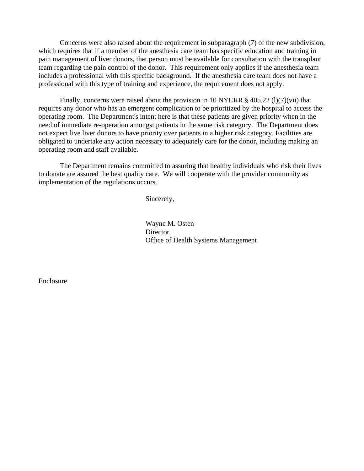Concerns were also raised about the requirement in subparagraph (7) of the new subdivision, which requires that if a member of the anesthesia care team has specific education and training in pain management of liver donors, that person must be available for consultation with the transplant team regarding the pain control of the donor. This requirement only applies if the anesthesia team includes a professional with this specific background. If the anesthesia care team does not have a professional with this type of training and experience, the requirement does not apply.

Finally, concerns were raised about the provision in 10 NYCRR  $\S$  405.22 (l)(7)(vii) that requires any donor who has an emergent complication to be prioritized by the hospital to access the operating room. The Department's intent here is that these patients are given priority when in the need of immediate re-operation amongst patients in the same risk category. The Department does not expect live liver donors to have priority over patients in a higher risk category. Facilities are obligated to undertake any action necessary to adequately care for the donor, including making an operating room and staff available.

The Department remains committed to assuring that healthy individuals who risk their lives to donate are assured the best quality care. We will cooperate with the provider community as implementation of the regulations occurs.

Sincerely,

Wayne M. Osten Director Office of Health Systems Management

Enclosure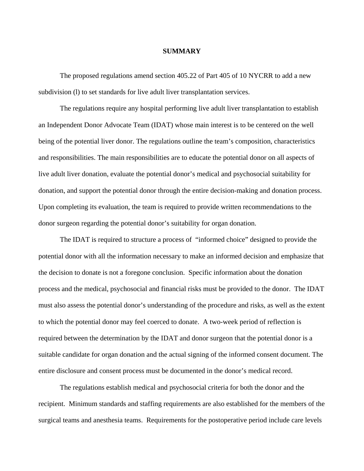#### **SUMMARY**

The proposed regulations amend section 405.22 of Part 405 of 10 NYCRR to add a new subdivision (l) to set standards for live adult liver transplantation services.

The regulations require any hospital performing live adult liver transplantation to establish an Independent Donor Advocate Team (IDAT) whose main interest is to be centered on the well being of the potential liver donor. The regulations outline the team's composition, characteristics and responsibilities. The main responsibilities are to educate the potential donor on all aspects of live adult liver donation, evaluate the potential donor's medical and psychosocial suitability for donation, and support the potential donor through the entire decision-making and donation process. Upon completing its evaluation, the team is required to provide written recommendations to the donor surgeon regarding the potential donor's suitability for organ donation.

The IDAT is required to structure a process of "informed choice" designed to provide the potential donor with all the information necessary to make an informed decision and emphasize that the decision to donate is not a foregone conclusion. Specific information about the donation process and the medical, psychosocial and financial risks must be provided to the donor. The IDAT must also assess the potential donor's understanding of the procedure and risks, as well as the extent to which the potential donor may feel coerced to donate. A two-week period of reflection is required between the determination by the IDAT and donor surgeon that the potential donor is a suitable candidate for organ donation and the actual signing of the informed consent document. The entire disclosure and consent process must be documented in the donor's medical record.

The regulations establish medical and psychosocial criteria for both the donor and the recipient. Minimum standards and staffing requirements are also established for the members of the surgical teams and anesthesia teams. Requirements for the postoperative period include care levels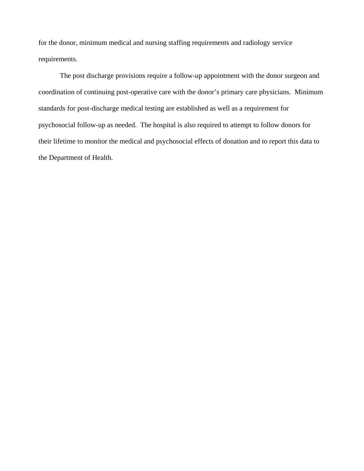for the donor, minimum medical and nursing staffing requirements and radiology service requirements.

The post discharge provisions require a follow-up appointment with the donor surgeon and coordination of continuing post-operative care with the donor's primary care physicians. Minimum standards for post-discharge medical testing are established as well as a requirement for psychosocial follow-up as needed. The hospital is also required to attempt to follow donors for their lifetime to monitor the medical and psychosocial effects of donation and to report this data to the Department of Health.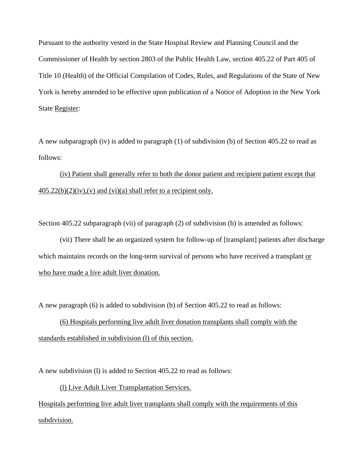Pursuant to the authority vested in the State Hospital Review and Planning Council and the Commissioner of Health by section 2803 of the Public Health Law, section 405.22 of Part 405 of Title 10 (Health) of the Official Compilation of Codes, Rules, and Regulations of the State of New York is hereby amended to be effective upon publication of a Notice of Adoption in the New York State Register:

A new subparagraph (iv) is added to paragraph (1) of subdivision (b) of Section 405.22 to read as follows:

(iv) Patient shall generally refer to both the donor patient and recipient patient except that  $405.22(b)(2)(iv)$ , (v) and (vi)(a) shall refer to a recipient only.

Section 405.22 subparagraph (vii) of paragraph (2) of subdivision (b) is amended as follows:

(vii) There shall be an organized system for follow-up of [transplant] patients after discharge which maintains records on the long-term survival of persons who have received a transplant or who have made a live adult liver donation.

A new paragraph (6) is added to subdivision (b) of Section 405.22 to read as follows:

(6) Hospitals performing live adult liver donation transplants shall comply with the standards established in subdivision (l) of this section.

A new subdivision (l) is added to Section 405.22 to read as follows:

(l) Live Adult Liver Transplantation Services.

Hospitals performing live adult liver transplants shall comply with the requirements of this subdivision.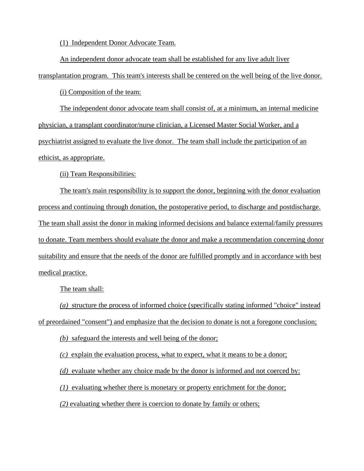(1) Independent Donor Advocate Team.

An independent donor advocate team shall be established for any live adult liver

transplantation program. This team's interests shall be centered on the well being of the live donor.

(i) Composition of the team:

The independent donor advocate team shall consist of, at a minimum, an internal medicine physician, a transplant coordinator/nurse clinician, a Licensed Master Social Worker, and a psychiatrist assigned to evaluate the live donor. The team shall include the participation of an ethicist, as appropriate.

(ii) Team Responsibilities:

The team's main responsibility is to support the donor, beginning with the donor evaluation process and continuing through donation, the postoperative period, to discharge and postdischarge. The team shall assist the donor in making informed decisions and balance external/family pressures to donate. Team members should evaluate the donor and make a recommendation concerning donor suitability and ensure that the needs of the donor are fulfilled promptly and in accordance with best medical practice.

The team shall:

*(a)* structure the process of informed choice (specifically stating informed "choice" instead of preordained "consent") and emphasize that the decision to donate is not a foregone conclusion;

*(b)* safeguard the interests and well being of the donor;

*(c)* explain the evaluation process, what to expect, what it means to be a donor;

*(d)* evaluate whether any choice made by the donor is informed and not coerced by:

*(1)* evaluating whether there is monetary or property enrichment for the donor;

*(2)* evaluating whether there is coercion to donate by family or others;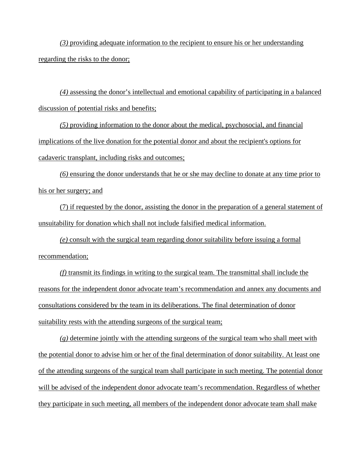*(3)* providing adequate information to the recipient to ensure his or her understanding regarding the risks to the donor;

*(4)* assessing the donor's intellectual and emotional capability of participating in a balanced discussion of potential risks and benefits;

*(5)* providing information to the donor about the medical, psychosocial, and financial implications of the live donation for the potential donor and about the recipient's options for cadaveric transplant, including risks and outcomes;

*(6)* ensuring the donor understands that he or she may decline to donate at any time prior to his or her surgery; and

(7) if requested by the donor, assisting the donor in the preparation of a general statement of unsuitability for donation which shall not include falsified medical information.

*(e)* consult with the surgical team regarding donor suitability before issuing a formal recommendation;

*(f)* transmit its findings in writing to the surgical team. The transmittal shall include the reasons for the independent donor advocate team's recommendation and annex any documents and consultations considered by the team in its deliberations. The final determination of donor suitability rests with the attending surgeons of the surgical team;

*(g)* determine jointly with the attending surgeons of the surgical team who shall meet with the potential donor to advise him or her of the final determination of donor suitability. At least one of the attending surgeons of the surgical team shall participate in such meeting. The potential donor will be advised of the independent donor advocate team's recommendation. Regardless of whether they participate in such meeting, all members of the independent donor advocate team shall make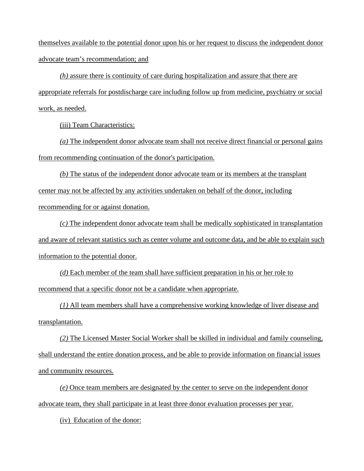themselves available to the potential donor upon his or her request to discuss the independent donor advocate team's recommendation; and

*(h)* assure there is continuity of care during hospitalization and assure that there are appropriate referrals for postdischarge care including follow up from medicine, psychiatry or social work, as needed.

(iii) Team Characteristics:

*(a)* The independent donor advocate team shall not receive direct financial or personal gains from recommending continuation of the donor's participation.

*(b)* The status of the independent donor advocate team or its members at the transplant center may not be affected by any activities undertaken on behalf of the donor, including recommending for or against donation.

*(c)* The independent donor advocate team shall be medically sophisticated in transplantation and aware of relevant statistics such as center volume and outcome data, and be able to explain such information to the potential donor.

*(d)* Each member of the team shall have sufficient preparation in his or her role to recommend that a specific donor not be a candidate when appropriate.

*(1)* All team members shall have a comprehensive working knowledge of liver disease and transplantation.

*(2)* The Licensed Master Social Worker shall be skilled in individual and family counseling, shall understand the entire donation process, and be able to provide information on financial issues and community resources.

*(e)* Once team members are designated by the center to serve on the independent donor advocate team, they shall participate in at least three donor evaluation processes per year.

(iv) Education of the donor: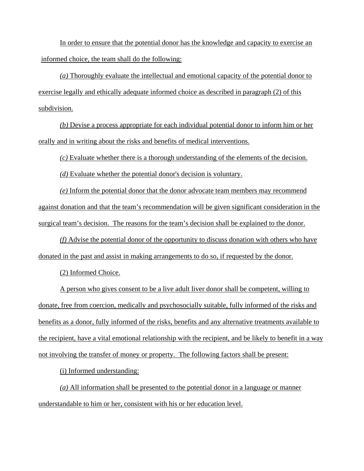In order to ensure that the potential donor has the knowledge and capacity to exercise an informed choice, the team shall do the following:

*(a)* Thoroughly evaluate the intellectual and emotional capacity of the potential donor to exercise legally and ethically adequate informed choice as described in paragraph (2) of this subdivision.

*(b)* Devise a process appropriate for each individual potential donor to inform him or her orally and in writing about the risks and benefits of medical interventions.

*(c)* Evaluate whether there is a thorough understanding of the elements of the decision.

*(d)* Evaluate whether the potential donor's decision is voluntary.

*(e)* Inform the potential donor that the donor advocate team members may recommend against donation and that the team's recommendation will be given significant consideration in the surgical team's decision. The reasons for the team's decision shall be explained to the donor.

*(f)* Advise the potential donor of the opportunity to discuss donation with others who have donated in the past and assist in making arrangements to do so, if requested by the donor.

(2) Informed Choice.

A person who gives consent to be a live adult liver donor shall be competent, willing to donate, free from coercion, medically and psychosocially suitable, fully informed of the risks and benefits as a donor, fully informed of the risks, benefits and any alternative treatments available to the recipient, have a vital emotional relationship with the recipient, and be likely to benefit in a way not involving the transfer of money or property. The following factors shall be present:

(i) Informed understanding:

*(a)* All information shall be presented to the potential donor in a language or manner understandable to him or her, consistent with his or her education level.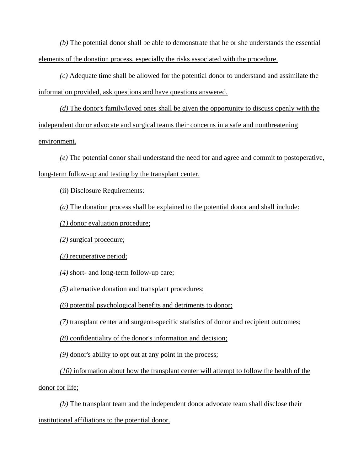*(b)* The potential donor shall be able to demonstrate that he or she understands the essential elements of the donation process, especially the risks associated with the procedure.

*(c)* Adequate time shall be allowed for the potential donor to understand and assimilate the information provided, ask questions and have questions answered.

*(d)* The donor's family/loved ones shall be given the opportunity to discuss openly with the independent donor advocate and surgical teams their concerns in a safe and nonthreatening environment.

*(e)* The potential donor shall understand the need for and agree and commit to postoperative, long-term follow-up and testing by the transplant center.

(ii) Disclosure Requirements:

*(a)* The donation process shall be explained to the potential donor and shall include:

*(1)* donor evaluation procedure;

*(2)* surgical procedure;

*(3)* recuperative period;

*(4)* short- and long-term follow-up care;

*(5)* alternative donation and transplant procedures;

*(6)* potential psychological benefits and detriments to donor;

*(7)* transplant center and surgeon-specific statistics of donor and recipient outcomes;

*(8)* confidentiality of the donor's information and decision;

*(9)* donor's ability to opt out at any point in the process;

*(10)* information about how the transplant center will attempt to follow the health of the donor for life;

*(b)* The transplant team and the independent donor advocate team shall disclose their institutional affiliations to the potential donor.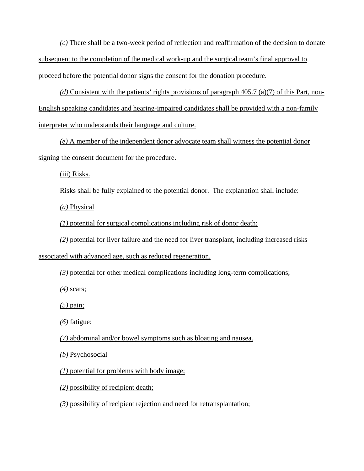*(c)* There shall be a two-week period of reflection and reaffirmation of the decision to donate subsequent to the completion of the medical work-up and the surgical team's final approval to proceed before the potential donor signs the consent for the donation procedure.

*(d)* Consistent with the patients' rights provisions of paragraph 405.7 (a)(7) of this Part, non-English speaking candidates and hearing-impaired candidates shall be provided with a non-family interpreter who understands their language and culture.

*(e)* A member of the independent donor advocate team shall witness the potential donor signing the consent document for the procedure.

(iii) Risks.

Risks shall be fully explained to the potential donor. The explanation shall include:

*(a)* Physical

*(1)* potential for surgical complications including risk of donor death;

*(2)* potential for liver failure and the need for liver transplant, including increased risks

associated with advanced age, such as reduced regeneration.

*(3)* potential for other medical complications including long-term complications;

*(4)* scars;

*(5)* pain;

*(6)* fatigue;

*(7)* abdominal and/or bowel symptoms such as bloating and nausea.

*(b)* Psychosocial

*(1)* potential for problems with body image;

*(2)* possibility of recipient death;

*(3)* possibility of recipient rejection and need for retransplantation;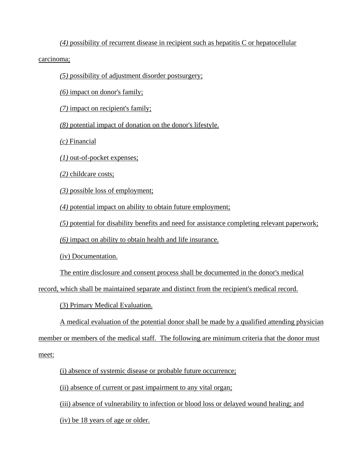# *(4)* possibility of recurrent disease in recipient such as hepatitis C or hepatocellular

carcinoma;

- *(5)* possibility of adjustment disorder postsurgery;
- *(6)* impact on donor's family;
- *(7)* impact on recipient's family;

*(8)* potential impact of donation on the donor's lifestyle.

*(c)* Financial

*(1)* out-of-pocket expenses;

*(2)* childcare costs;

*(3)* possible loss of employment;

*(4)* potential impact on ability to obtain future employment;

*(5)* potential for disability benefits and need for assistance completing relevant paperwork;

*(6)* impact on ability to obtain health and life insurance.

(iv) Documentation.

The entire disclosure and consent process shall be documented in the donor's medical

record, which shall be maintained separate and distinct from the recipient's medical record.

(3) Primary Medical Evaluation.

A medical evaluation of the potential donor shall be made by a qualified attending physician

member or members of the medical staff. The following are minimum criteria that the donor must

meet:

(i) absence of systemic disease or probable future occurrence;

(ii) absence of current or past impairment to any vital organ;

(iii) absence of vulnerability to infection or blood loss or delayed wound healing; and

(iv) be 18 years of age or older.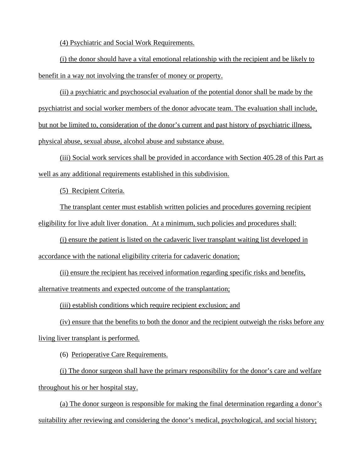(4) Psychiatric and Social Work Requirements.

(i) the donor should have a vital emotional relationship with the recipient and be likely to benefit in a way not involving the transfer of money or property.

(ii) a psychiatric and psychosocial evaluation of the potential donor shall be made by the psychiatrist and social worker members of the donor advocate team. The evaluation shall include, but not be limited to, consideration of the donor's current and past history of psychiatric illness, physical abuse, sexual abuse, alcohol abuse and substance abuse.

(iii) Social work services shall be provided in accordance with Section 405.28 of this Part as well as any additional requirements established in this subdivision.

(5) Recipient Criteria.

The transplant center must establish written policies and procedures governing recipient eligibility for live adult liver donation. At a minimum, such policies and procedures shall:

(i) ensure the patient is listed on the cadaveric liver transplant waiting list developed in accordance with the national eligibility criteria for cadaveric donation;

(ii) ensure the recipient has received information regarding specific risks and benefits, alternative treatments and expected outcome of the transplantation;

(iii) establish conditions which require recipient exclusion; and

(iv) ensure that the benefits to both the donor and the recipient outweigh the risks before any living liver transplant is performed.

(6) Perioperative Care Requirements.

(i) The donor surgeon shall have the primary responsibility for the donor's care and welfare throughout his or her hospital stay.

(a) The donor surgeon is responsible for making the final determination regarding a donor's suitability after reviewing and considering the donor's medical, psychological, and social history;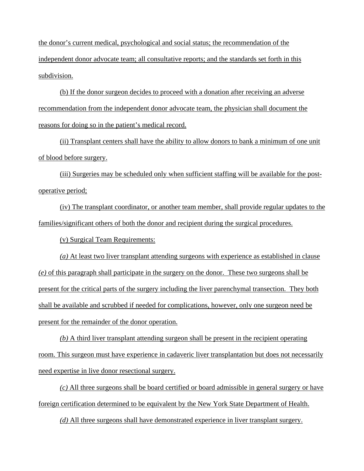the donor's current medical, psychological and social status; the recommendation of the independent donor advocate team; all consultative reports; and the standards set forth in this subdivision.

(b) If the donor surgeon decides to proceed with a donation after receiving an adverse recommendation from the independent donor advocate team, the physician shall document the reasons for doing so in the patient's medical record.

(ii) Transplant centers shall have the ability to allow donors to bank a minimum of one unit of blood before surgery.

(iii) Surgeries may be scheduled only when sufficient staffing will be available for the postoperative period;

(iv) The transplant coordinator, or another team member, shall provide regular updates to the families/significant others of both the donor and recipient during the surgical procedures.

(v) Surgical Team Requirements:

*(a)* At least two liver transplant attending surgeons with experience as established in clause *(e)* of this paragraph shall participate in the surgery on the donor. These two surgeons shall be present for the critical parts of the surgery including the liver parenchymal transection. They both shall be available and scrubbed if needed for complications, however, only one surgeon need be present for the remainder of the donor operation.

*(b)* A third liver transplant attending surgeon shall be present in the recipient operating room. This surgeon must have experience in cadaveric liver transplantation but does not necessarily need expertise in live donor resectional surgery.

*(c)* All three surgeons shall be board certified or board admissible in general surgery or have foreign certification determined to be equivalent by the New York State Department of Health.

*(d)* All three surgeons shall have demonstrated experience in liver transplant surgery.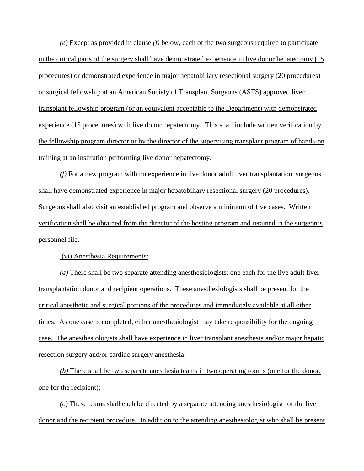*(e)* Except as provided in clause *(f)* below, each of the two surgeons required to participate in the critical parts of the surgery shall have demonstrated experience in live donor hepatectomy (15 procedures) or demonstrated experience in major hepatobiliary resectional surgery (20 procedures) or surgical fellowship at an American Society of Transplant Surgeons (ASTS) approved liver transplant fellowship program (or an equivalent acceptable to the Department) with demonstrated experience (15 procedures) with live donor hepatectomy. This shall include written verification by the fellowship program director or by the director of the supervising transplant program of hands-on training at an institution performing live donor hepatectomy.

*(f)* For a new program with no experience in live donor adult liver transplantation, surgeons shall have demonstrated experience in major hepatobiliary resectional surgery (20 procedures). Surgeons shall also visit an established program and observe a minimum of five cases. Written verification shall be obtained from the director of the hosting program and retained in the surgeon's personnel file.

(vi) Anesthesia Requirements:

*(a)* There shall be two separate attending anesthesiologists; one each for the live adult liver transplantation donor and recipient operations. These anesthesiologists shall be present for the critical anesthetic and surgical portions of the procedures and immediately available at all other times. As one case is completed, either anesthesiologist may take responsibility for the ongoing case. The anesthesiologists shall have experience in liver transplant anesthesia and/or major hepatic resection surgery and/or cardiac surgery anesthesia;

*(b)* There shall be two separate anesthesia teams in two operating rooms (one for the donor, one for the recipient);

*(c)* These teams shall each be directed by a separate attending anesthesiologist for the live donor and the recipient procedure. In addition to the attending anesthesiologist who shall be present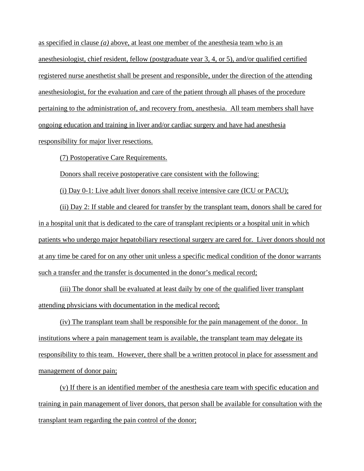as specified in clause *(a)* above, at least one member of the anesthesia team who is an anesthesiologist, chief resident, fellow (postgraduate year 3, 4, or 5), and/or qualified certified registered nurse anesthetist shall be present and responsible, under the direction of the attending anesthesiologist, for the evaluation and care of the patient through all phases of the procedure pertaining to the administration of, and recovery from, anesthesia. All team members shall have ongoing education and training in liver and/or cardiac surgery and have had anesthesia responsibility for major liver resections.

(7) Postoperative Care Requirements.

Donors shall receive postoperative care consistent with the following:

(i) Day 0-1: Live adult liver donors shall receive intensive care (ICU or PACU);

(ii) Day 2: If stable and cleared for transfer by the transplant team, donors shall be cared for in a hospital unit that is dedicated to the care of transplant recipients or a hospital unit in which patients who undergo major hepatobiliary resectional surgery are cared for. Liver donors should not at any time be cared for on any other unit unless a specific medical condition of the donor warrants such a transfer and the transfer is documented in the donor's medical record;

(iii) The donor shall be evaluated at least daily by one of the qualified liver transplant attending physicians with documentation in the medical record;

(iv) The transplant team shall be responsible for the pain management of the donor. In institutions where a pain management team is available, the transplant team may delegate its responsibility to this team. However, there shall be a written protocol in place for assessment and management of donor pain;

(v) If there is an identified member of the anesthesia care team with specific education and training in pain management of liver donors, that person shall be available for consultation with the transplant team regarding the pain control of the donor;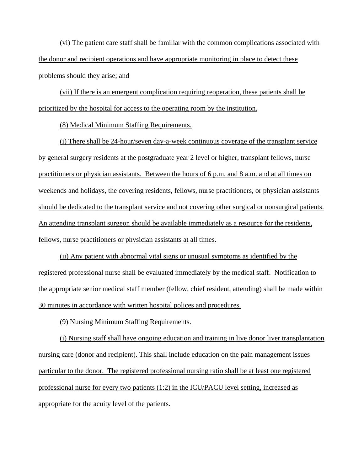(vi) The patient care staff shall be familiar with the common complications associated with the donor and recipient operations and have appropriate monitoring in place to detect these problems should they arise; and

(vii) If there is an emergent complication requiring reoperation, these patients shall be prioritized by the hospital for access to the operating room by the institution.

(8) Medical Minimum Staffing Requirements.

(i) There shall be 24-hour/seven day-a-week continuous coverage of the transplant service by general surgery residents at the postgraduate year 2 level or higher, transplant fellows, nurse practitioners or physician assistants. Between the hours of 6 p.m. and 8 a.m. and at all times on weekends and holidays, the covering residents, fellows, nurse practitioners, or physician assistants should be dedicated to the transplant service and not covering other surgical or nonsurgical patients. An attending transplant surgeon should be available immediately as a resource for the residents, fellows, nurse practitioners or physician assistants at all times.

(ii) Any patient with abnormal vital signs or unusual symptoms as identified by the registered professional nurse shall be evaluated immediately by the medical staff. Notification to the appropriate senior medical staff member (fellow, chief resident, attending) shall be made within 30 minutes in accordance with written hospital polices and procedures.

(9) Nursing Minimum Staffing Requirements.

(i) Nursing staff shall have ongoing education and training in live donor liver transplantation nursing care (donor and recipient). This shall include education on the pain management issues particular to the donor. The registered professional nursing ratio shall be at least one registered professional nurse for every two patients (1:2) in the ICU/PACU level setting, increased as appropriate for the acuity level of the patients.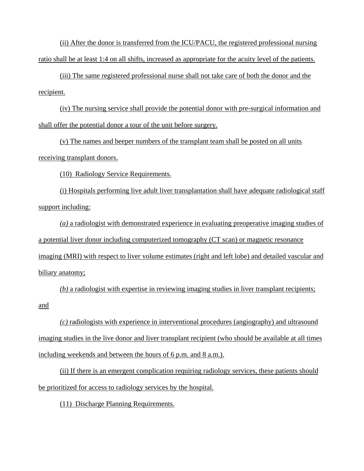(ii) After the donor is transferred from the ICU/PACU, the registered professional nursing ratio shall be at least 1:4 on all shifts, increased as appropriate for the acuity level of the patients.

(iii) The same registered professional nurse shall not take care of both the donor and the recipient.

(iv) The nursing service shall provide the potential donor with pre-surgical information and shall offer the potential donor a tour of the unit before surgery.

(v) The names and beeper numbers of the transplant team shall be posted on all units receiving transplant donors.

(10) Radiology Service Requirements.

(i) Hospitals performing live adult liver transplantation shall have adequate radiological staff support including:

*(a)* a radiologist with demonstrated experience in evaluating preoperative imaging studies of a potential liver donor including computerized tomography (CT scan) or magnetic resonance imaging (MRI) with respect to liver volume estimates (right and left lobe) and detailed vascular and biliary anatomy;

*(b)* a radiologist with expertise in reviewing imaging studies in liver transplant recipients; and

*(c)* radiologists with experience in interventional procedures (angiography) and ultrasound imaging studies in the live donor and liver transplant recipient (who should be available at all times including weekends and between the hours of 6 p.m. and 8 a.m.).

(ii) If there is an emergent complication requiring radiology services, these patients should be prioritized for access to radiology services by the hospital.

(11) Discharge Planning Requirements.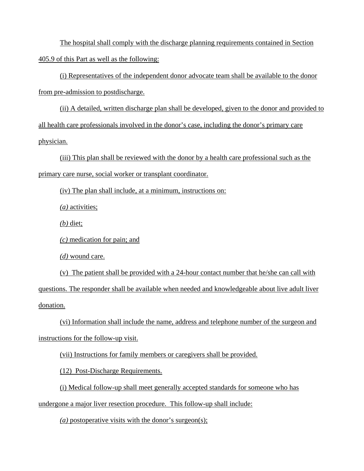The hospital shall comply with the discharge planning requirements contained in Section 405.9 of this Part as well as the following:

(i) Representatives of the independent donor advocate team shall be available to the donor from pre-admission to postdischarge.

(ii) A detailed, written discharge plan shall be developed, given to the donor and provided to all health care professionals involved in the donor's case, including the donor's primary care physician.

(iii) This plan shall be reviewed with the donor by a health care professional such as the primary care nurse, social worker or transplant coordinator.

(iv) The plan shall include, at a minimum, instructions on:

*(a)* activities;

*(b)* diet;

*(c)* medication for pain; and

*(d)* wound care.

(v) The patient shall be provided with a 24-hour contact number that he/she can call with questions. The responder shall be available when needed and knowledgeable about live adult liver donation.

(vi) Information shall include the name, address and telephone number of the surgeon and instructions for the follow-up visit.

(vii) Instructions for family members or caregivers shall be provided.

(12) Post-Discharge Requirements.

(i) Medical follow-up shall meet generally accepted standards for someone who has

undergone a major liver resection procedure. This follow-up shall include:

*(a)* postoperative visits with the donor's surgeon(s);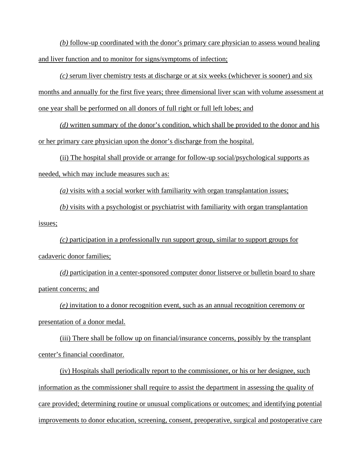*(b)* follow-up coordinated with the donor's primary care physician to assess wound healing and liver function and to monitor for signs/symptoms of infection;

*(c)* serum liver chemistry tests at discharge or at six weeks (whichever is sooner) and six months and annually for the first five years; three dimensional liver scan with volume assessment at one year shall be performed on all donors of full right or full left lobes; and

*(d)* written summary of the donor's condition, which shall be provided to the donor and his or her primary care physician upon the donor's discharge from the hospital.

(ii) The hospital shall provide or arrange for follow-up social/psychological supports as needed, which may include measures such as:

*(a)* visits with a social worker with familiarity with organ transplantation issues;

*(b)* visits with a psychologist or psychiatrist with familiarity with organ transplantation issues;

*(c)* participation in a professionally run support group, similar to support groups for cadaveric donor families;

*(d)* participation in a center-sponsored computer donor listserve or bulletin board to share patient concerns; and

*(e)* invitation to a donor recognition event, such as an annual recognition ceremony or presentation of a donor medal.

 (iii) There shall be follow up on financial/insurance concerns, possibly by the transplant center's financial coordinator.

 (iv) Hospitals shall periodically report to the commissioner, or his or her designee, such information as the commissioner shall require to assist the department in assessing the quality of care provided; determining routine or unusual complications or outcomes; and identifying potential improvements to donor education, screening, consent, preoperative, surgical and postoperative care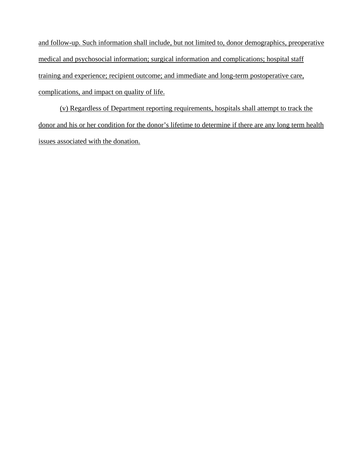and follow-up. Such information shall include, but not limited to, donor demographics, preoperative medical and psychosocial information; surgical information and complications; hospital staff training and experience; recipient outcome; and immediate and long-term postoperative care, complications, and impact on quality of life.

 (v) Regardless of Department reporting requirements, hospitals shall attempt to track the donor and his or her condition for the donor's lifetime to determine if there are any long term health issues associated with the donation.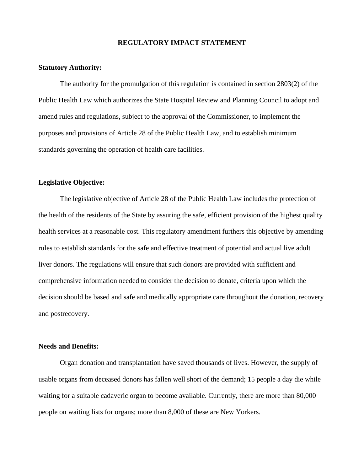#### **REGULATORY IMPACT STATEMENT**

### **Statutory Authority:**

 The authority for the promulgation of this regulation is contained in section 2803(2) of the Public Health Law which authorizes the State Hospital Review and Planning Council to adopt and amend rules and regulations, subject to the approval of the Commissioner, to implement the purposes and provisions of Article 28 of the Public Health Law, and to establish minimum standards governing the operation of health care facilities.

### **Legislative Objective:**

The legislative objective of Article 28 of the Public Health Law includes the protection of the health of the residents of the State by assuring the safe, efficient provision of the highest quality health services at a reasonable cost. This regulatory amendment furthers this objective by amending rules to establish standards for the safe and effective treatment of potential and actual live adult liver donors. The regulations will ensure that such donors are provided with sufficient and comprehensive information needed to consider the decision to donate, criteria upon which the decision should be based and safe and medically appropriate care throughout the donation, recovery and postrecovery.

### **Needs and Benefits:**

Organ donation and transplantation have saved thousands of lives. However, the supply of usable organs from deceased donors has fallen well short of the demand; 15 people a day die while waiting for a suitable cadaveric organ to become available. Currently, there are more than 80,000 people on waiting lists for organs; more than 8,000 of these are New Yorkers.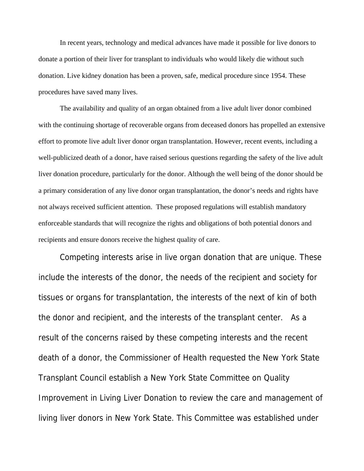In recent years, technology and medical advances have made it possible for live donors to donate a portion of their liver for transplant to individuals who would likely die without such donation. Live kidney donation has been a proven, safe, medical procedure since 1954. These procedures have saved many lives.

The availability and quality of an organ obtained from a live adult liver donor combined with the continuing shortage of recoverable organs from deceased donors has propelled an extensive effort to promote live adult liver donor organ transplantation. However, recent events, including a well-publicized death of a donor, have raised serious questions regarding the safety of the live adult liver donation procedure, particularly for the donor. Although the well being of the donor should be a primary consideration of any live donor organ transplantation, the donor's needs and rights have not always received sufficient attention. These proposed regulations will establish mandatory enforceable standards that will recognize the rights and obligations of both potential donors and recipients and ensure donors receive the highest quality of care.

 Competing interests arise in live organ donation that are unique. These include the interests of the donor, the needs of the recipient and society for tissues or organs for transplantation, the interests of the next of kin of both the donor and recipient, and the interests of the transplant center. As a result of the concerns raised by these competing interests and the recent death of a donor, the Commissioner of Health requested the New York State Transplant Council establish a New York State Committee on Quality Improvement in Living Liver Donation to review the care and management of living liver donors in New York State. This Committee was established under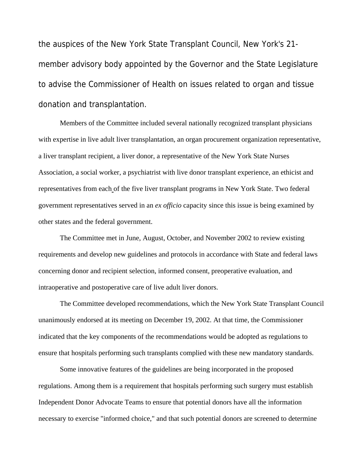the auspices of the New York State Transplant Council, New York's 21 member advisory body appointed by the Governor and the State Legislature to advise the Commissioner of Health on issues related to organ and tissue donation and transplantation.

Members of the Committee included several nationally recognized transplant physicians with expertise in live adult liver transplantation, an organ procurement organization representative, a liver transplant recipient, a liver donor, a representative of the New York State Nurses Association, a social worker, a psychiatrist with live donor transplant experience, an ethicist and representatives from each of the five liver transplant programs in New York State. Two federal government representatives served in an *ex officio* capacity since this issue is being examined by other states and the federal government.

 The Committee met in June, August, October, and November 2002 to review existing requirements and develop new guidelines and protocols in accordance with State and federal laws concerning donor and recipient selection, informed consent, preoperative evaluation, and intraoperative and postoperative care of live adult liver donors.

 The Committee developed recommendations, which the New York State Transplant Council unanimously endorsed at its meeting on December 19, 2002. At that time, the Commissioner indicated that the key components of the recommendations would be adopted as regulations to ensure that hospitals performing such transplants complied with these new mandatory standards.

 Some innovative features of the guidelines are being incorporated in the proposed regulations. Among them is a requirement that hospitals performing such surgery must establish Independent Donor Advocate Teams to ensure that potential donors have all the information necessary to exercise "informed choice," and that such potential donors are screened to determine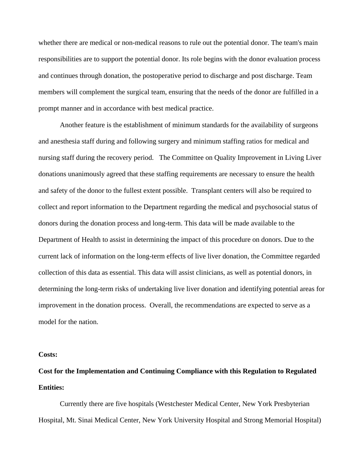whether there are medical or non-medical reasons to rule out the potential donor. The team's main responsibilities are to support the potential donor. Its role begins with the donor evaluation process and continues through donation, the postoperative period to discharge and post discharge. Team members will complement the surgical team, ensuring that the needs of the donor are fulfilled in a prompt manner and in accordance with best medical practice.

Another feature is the establishment of minimum standards for the availability of surgeons and anesthesia staff during and following surgery and minimum staffing ratios for medical and nursing staff during the recovery period. The Committee on Quality Improvement in Living Liver donations unanimously agreed that these staffing requirements are necessary to ensure the health and safety of the donor to the fullest extent possible. Transplant centers will also be required to collect and report information to the Department regarding the medical and psychosocial status of donors during the donation process and long-term. This data will be made available to the Department of Health to assist in determining the impact of this procedure on donors. Due to the current lack of information on the long-term effects of live liver donation, the Committee regarded collection of this data as essential. This data will assist clinicians, as well as potential donors, in determining the long-term risks of undertaking live liver donation and identifying potential areas for improvement in the donation process. Overall, the recommendations are expected to serve as a model for the nation.

#### **Costs:**

# **Cost for the Implementation and Continuing Compliance with this Regulation to Regulated Entities:**

Currently there are five hospitals (Westchester Medical Center, New York Presbyterian Hospital, Mt. Sinai Medical Center, New York University Hospital and Strong Memorial Hospital)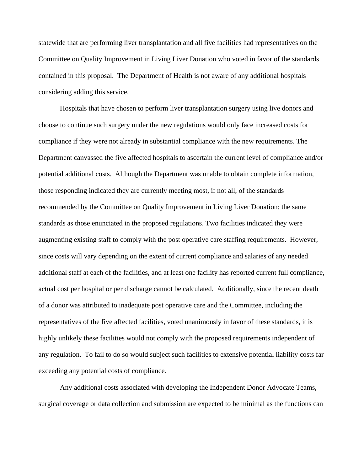statewide that are performing liver transplantation and all five facilities had representatives on the Committee on Quality Improvement in Living Liver Donation who voted in favor of the standards contained in this proposal. The Department of Health is not aware of any additional hospitals considering adding this service.

 Hospitals that have chosen to perform liver transplantation surgery using live donors and choose to continue such surgery under the new regulations would only face increased costs for compliance if they were not already in substantial compliance with the new requirements. The Department canvassed the five affected hospitals to ascertain the current level of compliance and/or potential additional costs. Although the Department was unable to obtain complete information, those responding indicated they are currently meeting most, if not all, of the standards recommended by the Committee on Quality Improvement in Living Liver Donation; the same standards as those enunciated in the proposed regulations. Two facilities indicated they were augmenting existing staff to comply with the post operative care staffing requirements. However, since costs will vary depending on the extent of current compliance and salaries of any needed additional staff at each of the facilities, and at least one facility has reported current full compliance, actual cost per hospital or per discharge cannot be calculated. Additionally, since the recent death of a donor was attributed to inadequate post operative care and the Committee, including the representatives of the five affected facilities, voted unanimously in favor of these standards, it is highly unlikely these facilities would not comply with the proposed requirements independent of any regulation. To fail to do so would subject such facilities to extensive potential liability costs far exceeding any potential costs of compliance.

 Any additional costs associated with developing the Independent Donor Advocate Teams, surgical coverage or data collection and submission are expected to be minimal as the functions can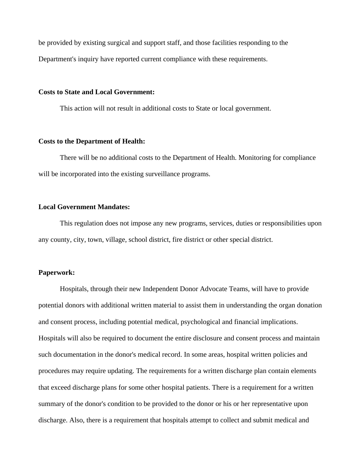be provided by existing surgical and support staff, and those facilities responding to the Department's inquiry have reported current compliance with these requirements.

# **Costs to State and Local Government:**

This action will not result in additional costs to State or local government.

#### **Costs to the Department of Health:**

 There will be no additional costs to the Department of Health. Monitoring for compliance will be incorporated into the existing surveillance programs.

# **Local Government Mandates:**

 This regulation does not impose any new programs, services, duties or responsibilities upon any county, city, town, village, school district, fire district or other special district.

# **Paperwork:**

Hospitals, through their new Independent Donor Advocate Teams, will have to provide potential donors with additional written material to assist them in understanding the organ donation and consent process, including potential medical, psychological and financial implications. Hospitals will also be required to document the entire disclosure and consent process and maintain such documentation in the donor's medical record. In some areas, hospital written policies and procedures may require updating. The requirements for a written discharge plan contain elements that exceed discharge plans for some other hospital patients. There is a requirement for a written summary of the donor's condition to be provided to the donor or his or her representative upon discharge. Also, there is a requirement that hospitals attempt to collect and submit medical and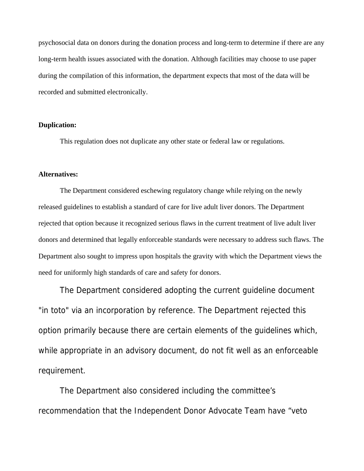psychosocial data on donors during the donation process and long-term to determine if there are any long-term health issues associated with the donation. Although facilities may choose to use paper during the compilation of this information, the department expects that most of the data will be recorded and submitted electronically.

# **Duplication:**

This regulation does not duplicate any other state or federal law or regulations.

# **Alternatives:**

 The Department considered eschewing regulatory change while relying on the newly released guidelines to establish a standard of care for live adult liver donors. The Department rejected that option because it recognized serious flaws in the current treatment of live adult liver donors and determined that legally enforceable standards were necessary to address such flaws. The Department also sought to impress upon hospitals the gravity with which the Department views the need for uniformly high standards of care and safety for donors.

 The Department considered adopting the current guideline document "in toto" via an incorporation by reference. The Department rejected this option primarily because there are certain elements of the guidelines which, while appropriate in an advisory document, do not fit well as an enforceable requirement.

 The Department also considered including the committee's recommendation that the Independent Donor Advocate Team have "veto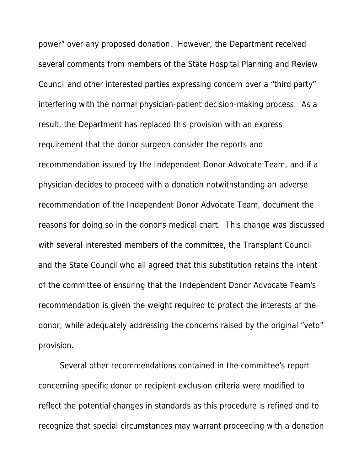power" over any proposed donation. However, the Department received several comments from members of the State Hospital Planning and Review Council and other interested parties expressing concern over a "third party" interfering with the normal physician-patient decision-making process. As a result, the Department has replaced this provision with an express requirement that the donor surgeon consider the reports and recommendation issued by the Independent Donor Advocate Team, and if a physician decides to proceed with a donation notwithstanding an adverse recommendation of the Independent Donor Advocate Team, document the reasons for doing so in the donor's medical chart. This change was discussed with several interested members of the committee, the Transplant Council and the State Council who all agreed that this substitution retains the intent of the committee of ensuring that the Independent Donor Advocate Team's recommendation is given the weight required to protect the interests of the donor, while adequately addressing the concerns raised by the original "veto" provision.

 Several other recommendations contained in the committee's report concerning specific donor or recipient exclusion criteria were modified to reflect the potential changes in standards as this procedure is refined and to recognize that special circumstances may warrant proceeding with a donation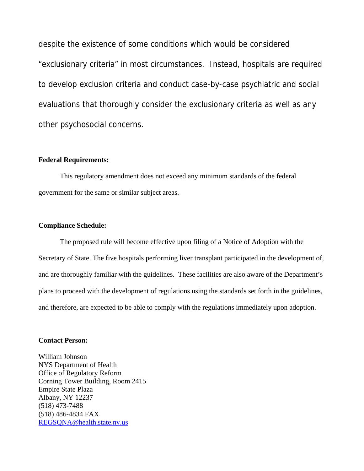despite the existence of some conditions which would be considered "exclusionary criteria" in most circumstances. Instead, hospitals are required to develop exclusion criteria and conduct case-by-case psychiatric and social evaluations that thoroughly consider the exclusionary criteria as well as any other psychosocial concerns.

# **Federal Requirements:**

 This regulatory amendment does not exceed any minimum standards of the federal government for the same or similar subject areas.

# **Compliance Schedule:**

The proposed rule will become effective upon filing of a Notice of Adoption with the Secretary of State. The five hospitals performing liver transplant participated in the development of, and are thoroughly familiar with the guidelines. These facilities are also aware of the Department's plans to proceed with the development of regulations using the standards set forth in the guidelines, and therefore, are expected to be able to comply with the regulations immediately upon adoption.

# **Contact Person:**

William Johnson NYS Department of Health Office of Regulatory Reform Corning Tower Building, Room 2415 Empire State Plaza Albany, NY 12237 (518) 473-7488 (518) 486-4834 FAX REGSQNA@health.state.ny.us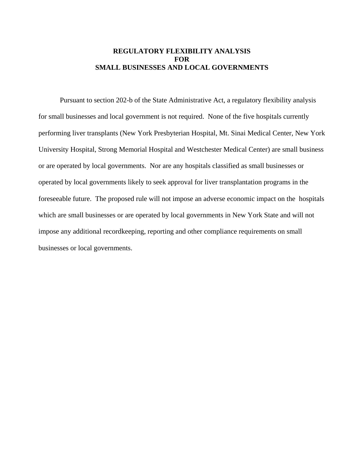# **REGULATORY FLEXIBILITY ANALYSIS FOR SMALL BUSINESSES AND LOCAL GOVERNMENTS**

 Pursuant to section 202-b of the State Administrative Act, a regulatory flexibility analysis for small businesses and local government is not required. None of the five hospitals currently performing liver transplants (New York Presbyterian Hospital, Mt. Sinai Medical Center, New York University Hospital, Strong Memorial Hospital and Westchester Medical Center) are small business or are operated by local governments. Nor are any hospitals classified as small businesses or operated by local governments likely to seek approval for liver transplantation programs in the foreseeable future. The proposed rule will not impose an adverse economic impact on the hospitals which are small businesses or are operated by local governments in New York State and will not impose any additional recordkeeping, reporting and other compliance requirements on small businesses or local governments.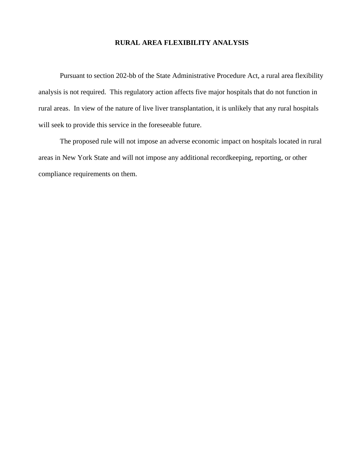# **RURAL AREA FLEXIBILITY ANALYSIS**

 Pursuant to section 202-bb of the State Administrative Procedure Act, a rural area flexibility analysis is not required. This regulatory action affects five major hospitals that do not function in rural areas. In view of the nature of live liver transplantation, it is unlikely that any rural hospitals will seek to provide this service in the foreseeable future.

 The proposed rule will not impose an adverse economic impact on hospitals located in rural areas in New York State and will not impose any additional recordkeeping, reporting, or other compliance requirements on them.